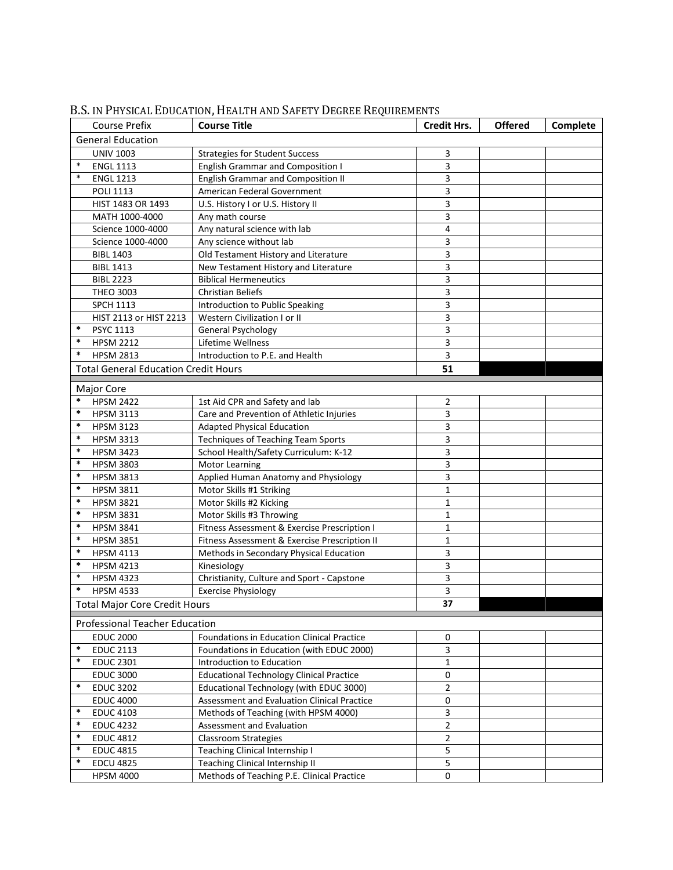| <b>General Education</b><br><b>UNIV 1003</b><br>3<br><b>Strategies for Student Success</b><br>$\ast$<br>3<br><b>ENGL 1113</b><br><b>English Grammar and Composition I</b><br>$\ast$<br><b>English Grammar and Composition II</b><br>3<br><b>ENGL 1213</b><br>American Federal Government<br>3<br><b>POLI 1113</b><br>3<br>HIST 1483 OR 1493<br>U.S. History I or U.S. History II<br>3<br>MATH 1000-4000<br>Any math course<br>4<br>Science 1000-4000<br>Any natural science with lab<br>3<br>Science 1000-4000<br>Any science without lab<br>3<br>Old Testament History and Literature<br><b>BIBL 1403</b><br>3<br><b>BIBL 1413</b><br>New Testament History and Literature<br>3<br><b>BIBL 2223</b><br><b>Biblical Hermeneutics</b><br>3<br><b>THEO 3003</b><br><b>Christian Beliefs</b><br>3<br><b>SPCH 1113</b><br>Introduction to Public Speaking<br>Western Civilization I or II<br>3<br>HIST 2113 or HIST 2213<br>3<br>$\ast$<br>PSYC 1113<br>General Psychology<br>$\ast$<br>3<br><b>HPSM 2212</b><br>Lifetime Wellness<br>$\ast$<br>3<br><b>HPSM 2813</b><br>Introduction to P.E. and Health<br>51<br><b>Total General Education Credit Hours</b><br>Major Core<br>$\ast$<br><b>HPSM 2422</b><br>1st Aid CPR and Safety and lab<br>2<br>$\ast$<br>3<br>Care and Prevention of Athletic Injuries<br><b>HPSM 3113</b><br>$\ast$<br>3<br><b>Adapted Physical Education</b><br><b>HPSM 3123</b><br>$\ast$<br>3<br><b>Techniques of Teaching Team Sports</b><br><b>HPSM 3313</b><br>3<br>$\ast$<br>School Health/Safety Curriculum: K-12<br><b>HPSM 3423</b><br>$\ast$<br>3<br><b>HPSM 3803</b><br><b>Motor Learning</b><br>$\ast$<br>3<br>Applied Human Anatomy and Physiology<br><b>HPSM 3813</b><br>$\ast$<br><b>HPSM 3811</b><br>Motor Skills #1 Striking<br>1<br>$\ast$<br>Motor Skills #2 Kicking<br><b>HPSM 3821</b><br>1<br>$\ast$<br><b>HPSM 3831</b><br>Motor Skills #3 Throwing<br>1<br>$\ast$<br>Fitness Assessment & Exercise Prescription I<br><b>HPSM 3841</b><br>1<br>$\ast$<br><b>HPSM 3851</b><br>Fitness Assessment & Exercise Prescription II<br>1<br>$\ast$<br>3<br><b>HPSM 4113</b><br>Methods in Secondary Physical Education<br>3<br>$\ast$<br><b>HPSM 4213</b><br>Kinesiology<br>3<br>$\ast$<br>Christianity, Culture and Sport - Capstone<br><b>HPSM 4323</b><br>3<br>$\ast$<br><b>HPSM 4533</b><br><b>Exercise Physiology</b><br>37<br><b>Total Major Core Credit Hours</b><br><b>Professional Teacher Education</b><br>Foundations in Education Clinical Practice<br><b>EDUC 2000</b><br>0<br>3<br>$\ast$<br><b>EDUC 2113</b><br>Foundations in Education (with EDUC 2000)<br>$\ast$<br><b>EDUC 2301</b><br>Introduction to Education<br>$\mathbf{1}$<br>$\pmb{0}$<br><b>EDUC 3000</b><br><b>Educational Technology Clinical Practice</b><br>$\ast$<br>$\overline{2}$<br>Educational Technology (with EDUC 3000)<br><b>EDUC 3202</b><br>Assessment and Evaluation Clinical Practice<br>$\pmb{0}$<br><b>EDUC 4000</b><br>$\ast$<br><b>EDUC 4103</b><br>Methods of Teaching (with HPSM 4000)<br>3<br>$\overline{2}$<br>$\ast$<br><b>EDUC 4232</b><br>Assessment and Evaluation<br>$\ast$<br>$\mathbf 2$<br><b>EDUC 4812</b><br>Classroom Strategies<br>$\ast$<br>5<br><b>EDUC 4815</b><br>Teaching Clinical Internship I<br>5<br>$\ast$<br><b>EDCU 4825</b><br>Teaching Clinical Internship II |  | <b>Course Prefix</b> | <b>Course Title</b>                        | <b>Credit Hrs.</b> | <b>Offered</b> | Complete |  |  |
|-----------------------------------------------------------------------------------------------------------------------------------------------------------------------------------------------------------------------------------------------------------------------------------------------------------------------------------------------------------------------------------------------------------------------------------------------------------------------------------------------------------------------------------------------------------------------------------------------------------------------------------------------------------------------------------------------------------------------------------------------------------------------------------------------------------------------------------------------------------------------------------------------------------------------------------------------------------------------------------------------------------------------------------------------------------------------------------------------------------------------------------------------------------------------------------------------------------------------------------------------------------------------------------------------------------------------------------------------------------------------------------------------------------------------------------------------------------------------------------------------------------------------------------------------------------------------------------------------------------------------------------------------------------------------------------------------------------------------------------------------------------------------------------------------------------------------------------------------------------------------------------------------------------------------------------------------------------------------------------------------------------------------------------------------------------------------------------------------------------------------------------------------------------------------------------------------------------------------------------------------------------------------------------------------------------------------------------------------------------------------------------------------------------------------------------------------------------------------------------------------------------------------------------------------------------------------------------------------------------------------------------------------------------------------------------------------------------------------------------------------------------------------------------------------------------------------------------------------------------------------------------------------------------------------------------------------------------------------------------------------------------------------------------------------------------------------------------------------------------------------------------------------------------------------------------------------------------------------------------------------------------------------------------------------------------------------------|--|----------------------|--------------------------------------------|--------------------|----------------|----------|--|--|
|                                                                                                                                                                                                                                                                                                                                                                                                                                                                                                                                                                                                                                                                                                                                                                                                                                                                                                                                                                                                                                                                                                                                                                                                                                                                                                                                                                                                                                                                                                                                                                                                                                                                                                                                                                                                                                                                                                                                                                                                                                                                                                                                                                                                                                                                                                                                                                                                                                                                                                                                                                                                                                                                                                                                                                                                                                                                                                                                                                                                                                                                                                                                                                                                                                                                                                                             |  |                      |                                            |                    |                |          |  |  |
|                                                                                                                                                                                                                                                                                                                                                                                                                                                                                                                                                                                                                                                                                                                                                                                                                                                                                                                                                                                                                                                                                                                                                                                                                                                                                                                                                                                                                                                                                                                                                                                                                                                                                                                                                                                                                                                                                                                                                                                                                                                                                                                                                                                                                                                                                                                                                                                                                                                                                                                                                                                                                                                                                                                                                                                                                                                                                                                                                                                                                                                                                                                                                                                                                                                                                                                             |  |                      |                                            |                    |                |          |  |  |
|                                                                                                                                                                                                                                                                                                                                                                                                                                                                                                                                                                                                                                                                                                                                                                                                                                                                                                                                                                                                                                                                                                                                                                                                                                                                                                                                                                                                                                                                                                                                                                                                                                                                                                                                                                                                                                                                                                                                                                                                                                                                                                                                                                                                                                                                                                                                                                                                                                                                                                                                                                                                                                                                                                                                                                                                                                                                                                                                                                                                                                                                                                                                                                                                                                                                                                                             |  |                      |                                            |                    |                |          |  |  |
|                                                                                                                                                                                                                                                                                                                                                                                                                                                                                                                                                                                                                                                                                                                                                                                                                                                                                                                                                                                                                                                                                                                                                                                                                                                                                                                                                                                                                                                                                                                                                                                                                                                                                                                                                                                                                                                                                                                                                                                                                                                                                                                                                                                                                                                                                                                                                                                                                                                                                                                                                                                                                                                                                                                                                                                                                                                                                                                                                                                                                                                                                                                                                                                                                                                                                                                             |  |                      |                                            |                    |                |          |  |  |
|                                                                                                                                                                                                                                                                                                                                                                                                                                                                                                                                                                                                                                                                                                                                                                                                                                                                                                                                                                                                                                                                                                                                                                                                                                                                                                                                                                                                                                                                                                                                                                                                                                                                                                                                                                                                                                                                                                                                                                                                                                                                                                                                                                                                                                                                                                                                                                                                                                                                                                                                                                                                                                                                                                                                                                                                                                                                                                                                                                                                                                                                                                                                                                                                                                                                                                                             |  |                      |                                            |                    |                |          |  |  |
|                                                                                                                                                                                                                                                                                                                                                                                                                                                                                                                                                                                                                                                                                                                                                                                                                                                                                                                                                                                                                                                                                                                                                                                                                                                                                                                                                                                                                                                                                                                                                                                                                                                                                                                                                                                                                                                                                                                                                                                                                                                                                                                                                                                                                                                                                                                                                                                                                                                                                                                                                                                                                                                                                                                                                                                                                                                                                                                                                                                                                                                                                                                                                                                                                                                                                                                             |  |                      |                                            |                    |                |          |  |  |
|                                                                                                                                                                                                                                                                                                                                                                                                                                                                                                                                                                                                                                                                                                                                                                                                                                                                                                                                                                                                                                                                                                                                                                                                                                                                                                                                                                                                                                                                                                                                                                                                                                                                                                                                                                                                                                                                                                                                                                                                                                                                                                                                                                                                                                                                                                                                                                                                                                                                                                                                                                                                                                                                                                                                                                                                                                                                                                                                                                                                                                                                                                                                                                                                                                                                                                                             |  |                      |                                            |                    |                |          |  |  |
|                                                                                                                                                                                                                                                                                                                                                                                                                                                                                                                                                                                                                                                                                                                                                                                                                                                                                                                                                                                                                                                                                                                                                                                                                                                                                                                                                                                                                                                                                                                                                                                                                                                                                                                                                                                                                                                                                                                                                                                                                                                                                                                                                                                                                                                                                                                                                                                                                                                                                                                                                                                                                                                                                                                                                                                                                                                                                                                                                                                                                                                                                                                                                                                                                                                                                                                             |  |                      |                                            |                    |                |          |  |  |
|                                                                                                                                                                                                                                                                                                                                                                                                                                                                                                                                                                                                                                                                                                                                                                                                                                                                                                                                                                                                                                                                                                                                                                                                                                                                                                                                                                                                                                                                                                                                                                                                                                                                                                                                                                                                                                                                                                                                                                                                                                                                                                                                                                                                                                                                                                                                                                                                                                                                                                                                                                                                                                                                                                                                                                                                                                                                                                                                                                                                                                                                                                                                                                                                                                                                                                                             |  |                      |                                            |                    |                |          |  |  |
|                                                                                                                                                                                                                                                                                                                                                                                                                                                                                                                                                                                                                                                                                                                                                                                                                                                                                                                                                                                                                                                                                                                                                                                                                                                                                                                                                                                                                                                                                                                                                                                                                                                                                                                                                                                                                                                                                                                                                                                                                                                                                                                                                                                                                                                                                                                                                                                                                                                                                                                                                                                                                                                                                                                                                                                                                                                                                                                                                                                                                                                                                                                                                                                                                                                                                                                             |  |                      |                                            |                    |                |          |  |  |
|                                                                                                                                                                                                                                                                                                                                                                                                                                                                                                                                                                                                                                                                                                                                                                                                                                                                                                                                                                                                                                                                                                                                                                                                                                                                                                                                                                                                                                                                                                                                                                                                                                                                                                                                                                                                                                                                                                                                                                                                                                                                                                                                                                                                                                                                                                                                                                                                                                                                                                                                                                                                                                                                                                                                                                                                                                                                                                                                                                                                                                                                                                                                                                                                                                                                                                                             |  |                      |                                            |                    |                |          |  |  |
|                                                                                                                                                                                                                                                                                                                                                                                                                                                                                                                                                                                                                                                                                                                                                                                                                                                                                                                                                                                                                                                                                                                                                                                                                                                                                                                                                                                                                                                                                                                                                                                                                                                                                                                                                                                                                                                                                                                                                                                                                                                                                                                                                                                                                                                                                                                                                                                                                                                                                                                                                                                                                                                                                                                                                                                                                                                                                                                                                                                                                                                                                                                                                                                                                                                                                                                             |  |                      |                                            |                    |                |          |  |  |
|                                                                                                                                                                                                                                                                                                                                                                                                                                                                                                                                                                                                                                                                                                                                                                                                                                                                                                                                                                                                                                                                                                                                                                                                                                                                                                                                                                                                                                                                                                                                                                                                                                                                                                                                                                                                                                                                                                                                                                                                                                                                                                                                                                                                                                                                                                                                                                                                                                                                                                                                                                                                                                                                                                                                                                                                                                                                                                                                                                                                                                                                                                                                                                                                                                                                                                                             |  |                      |                                            |                    |                |          |  |  |
|                                                                                                                                                                                                                                                                                                                                                                                                                                                                                                                                                                                                                                                                                                                                                                                                                                                                                                                                                                                                                                                                                                                                                                                                                                                                                                                                                                                                                                                                                                                                                                                                                                                                                                                                                                                                                                                                                                                                                                                                                                                                                                                                                                                                                                                                                                                                                                                                                                                                                                                                                                                                                                                                                                                                                                                                                                                                                                                                                                                                                                                                                                                                                                                                                                                                                                                             |  |                      |                                            |                    |                |          |  |  |
|                                                                                                                                                                                                                                                                                                                                                                                                                                                                                                                                                                                                                                                                                                                                                                                                                                                                                                                                                                                                                                                                                                                                                                                                                                                                                                                                                                                                                                                                                                                                                                                                                                                                                                                                                                                                                                                                                                                                                                                                                                                                                                                                                                                                                                                                                                                                                                                                                                                                                                                                                                                                                                                                                                                                                                                                                                                                                                                                                                                                                                                                                                                                                                                                                                                                                                                             |  |                      |                                            |                    |                |          |  |  |
|                                                                                                                                                                                                                                                                                                                                                                                                                                                                                                                                                                                                                                                                                                                                                                                                                                                                                                                                                                                                                                                                                                                                                                                                                                                                                                                                                                                                                                                                                                                                                                                                                                                                                                                                                                                                                                                                                                                                                                                                                                                                                                                                                                                                                                                                                                                                                                                                                                                                                                                                                                                                                                                                                                                                                                                                                                                                                                                                                                                                                                                                                                                                                                                                                                                                                                                             |  |                      |                                            |                    |                |          |  |  |
|                                                                                                                                                                                                                                                                                                                                                                                                                                                                                                                                                                                                                                                                                                                                                                                                                                                                                                                                                                                                                                                                                                                                                                                                                                                                                                                                                                                                                                                                                                                                                                                                                                                                                                                                                                                                                                                                                                                                                                                                                                                                                                                                                                                                                                                                                                                                                                                                                                                                                                                                                                                                                                                                                                                                                                                                                                                                                                                                                                                                                                                                                                                                                                                                                                                                                                                             |  |                      |                                            |                    |                |          |  |  |
|                                                                                                                                                                                                                                                                                                                                                                                                                                                                                                                                                                                                                                                                                                                                                                                                                                                                                                                                                                                                                                                                                                                                                                                                                                                                                                                                                                                                                                                                                                                                                                                                                                                                                                                                                                                                                                                                                                                                                                                                                                                                                                                                                                                                                                                                                                                                                                                                                                                                                                                                                                                                                                                                                                                                                                                                                                                                                                                                                                                                                                                                                                                                                                                                                                                                                                                             |  |                      |                                            |                    |                |          |  |  |
|                                                                                                                                                                                                                                                                                                                                                                                                                                                                                                                                                                                                                                                                                                                                                                                                                                                                                                                                                                                                                                                                                                                                                                                                                                                                                                                                                                                                                                                                                                                                                                                                                                                                                                                                                                                                                                                                                                                                                                                                                                                                                                                                                                                                                                                                                                                                                                                                                                                                                                                                                                                                                                                                                                                                                                                                                                                                                                                                                                                                                                                                                                                                                                                                                                                                                                                             |  |                      |                                            |                    |                |          |  |  |
|                                                                                                                                                                                                                                                                                                                                                                                                                                                                                                                                                                                                                                                                                                                                                                                                                                                                                                                                                                                                                                                                                                                                                                                                                                                                                                                                                                                                                                                                                                                                                                                                                                                                                                                                                                                                                                                                                                                                                                                                                                                                                                                                                                                                                                                                                                                                                                                                                                                                                                                                                                                                                                                                                                                                                                                                                                                                                                                                                                                                                                                                                                                                                                                                                                                                                                                             |  |                      |                                            |                    |                |          |  |  |
|                                                                                                                                                                                                                                                                                                                                                                                                                                                                                                                                                                                                                                                                                                                                                                                                                                                                                                                                                                                                                                                                                                                                                                                                                                                                                                                                                                                                                                                                                                                                                                                                                                                                                                                                                                                                                                                                                                                                                                                                                                                                                                                                                                                                                                                                                                                                                                                                                                                                                                                                                                                                                                                                                                                                                                                                                                                                                                                                                                                                                                                                                                                                                                                                                                                                                                                             |  |                      |                                            |                    |                |          |  |  |
|                                                                                                                                                                                                                                                                                                                                                                                                                                                                                                                                                                                                                                                                                                                                                                                                                                                                                                                                                                                                                                                                                                                                                                                                                                                                                                                                                                                                                                                                                                                                                                                                                                                                                                                                                                                                                                                                                                                                                                                                                                                                                                                                                                                                                                                                                                                                                                                                                                                                                                                                                                                                                                                                                                                                                                                                                                                                                                                                                                                                                                                                                                                                                                                                                                                                                                                             |  |                      |                                            |                    |                |          |  |  |
|                                                                                                                                                                                                                                                                                                                                                                                                                                                                                                                                                                                                                                                                                                                                                                                                                                                                                                                                                                                                                                                                                                                                                                                                                                                                                                                                                                                                                                                                                                                                                                                                                                                                                                                                                                                                                                                                                                                                                                                                                                                                                                                                                                                                                                                                                                                                                                                                                                                                                                                                                                                                                                                                                                                                                                                                                                                                                                                                                                                                                                                                                                                                                                                                                                                                                                                             |  |                      |                                            |                    |                |          |  |  |
|                                                                                                                                                                                                                                                                                                                                                                                                                                                                                                                                                                                                                                                                                                                                                                                                                                                                                                                                                                                                                                                                                                                                                                                                                                                                                                                                                                                                                                                                                                                                                                                                                                                                                                                                                                                                                                                                                                                                                                                                                                                                                                                                                                                                                                                                                                                                                                                                                                                                                                                                                                                                                                                                                                                                                                                                                                                                                                                                                                                                                                                                                                                                                                                                                                                                                                                             |  |                      |                                            |                    |                |          |  |  |
|                                                                                                                                                                                                                                                                                                                                                                                                                                                                                                                                                                                                                                                                                                                                                                                                                                                                                                                                                                                                                                                                                                                                                                                                                                                                                                                                                                                                                                                                                                                                                                                                                                                                                                                                                                                                                                                                                                                                                                                                                                                                                                                                                                                                                                                                                                                                                                                                                                                                                                                                                                                                                                                                                                                                                                                                                                                                                                                                                                                                                                                                                                                                                                                                                                                                                                                             |  |                      |                                            |                    |                |          |  |  |
|                                                                                                                                                                                                                                                                                                                                                                                                                                                                                                                                                                                                                                                                                                                                                                                                                                                                                                                                                                                                                                                                                                                                                                                                                                                                                                                                                                                                                                                                                                                                                                                                                                                                                                                                                                                                                                                                                                                                                                                                                                                                                                                                                                                                                                                                                                                                                                                                                                                                                                                                                                                                                                                                                                                                                                                                                                                                                                                                                                                                                                                                                                                                                                                                                                                                                                                             |  |                      |                                            |                    |                |          |  |  |
|                                                                                                                                                                                                                                                                                                                                                                                                                                                                                                                                                                                                                                                                                                                                                                                                                                                                                                                                                                                                                                                                                                                                                                                                                                                                                                                                                                                                                                                                                                                                                                                                                                                                                                                                                                                                                                                                                                                                                                                                                                                                                                                                                                                                                                                                                                                                                                                                                                                                                                                                                                                                                                                                                                                                                                                                                                                                                                                                                                                                                                                                                                                                                                                                                                                                                                                             |  |                      |                                            |                    |                |          |  |  |
|                                                                                                                                                                                                                                                                                                                                                                                                                                                                                                                                                                                                                                                                                                                                                                                                                                                                                                                                                                                                                                                                                                                                                                                                                                                                                                                                                                                                                                                                                                                                                                                                                                                                                                                                                                                                                                                                                                                                                                                                                                                                                                                                                                                                                                                                                                                                                                                                                                                                                                                                                                                                                                                                                                                                                                                                                                                                                                                                                                                                                                                                                                                                                                                                                                                                                                                             |  |                      |                                            |                    |                |          |  |  |
|                                                                                                                                                                                                                                                                                                                                                                                                                                                                                                                                                                                                                                                                                                                                                                                                                                                                                                                                                                                                                                                                                                                                                                                                                                                                                                                                                                                                                                                                                                                                                                                                                                                                                                                                                                                                                                                                                                                                                                                                                                                                                                                                                                                                                                                                                                                                                                                                                                                                                                                                                                                                                                                                                                                                                                                                                                                                                                                                                                                                                                                                                                                                                                                                                                                                                                                             |  |                      |                                            |                    |                |          |  |  |
|                                                                                                                                                                                                                                                                                                                                                                                                                                                                                                                                                                                                                                                                                                                                                                                                                                                                                                                                                                                                                                                                                                                                                                                                                                                                                                                                                                                                                                                                                                                                                                                                                                                                                                                                                                                                                                                                                                                                                                                                                                                                                                                                                                                                                                                                                                                                                                                                                                                                                                                                                                                                                                                                                                                                                                                                                                                                                                                                                                                                                                                                                                                                                                                                                                                                                                                             |  |                      |                                            |                    |                |          |  |  |
|                                                                                                                                                                                                                                                                                                                                                                                                                                                                                                                                                                                                                                                                                                                                                                                                                                                                                                                                                                                                                                                                                                                                                                                                                                                                                                                                                                                                                                                                                                                                                                                                                                                                                                                                                                                                                                                                                                                                                                                                                                                                                                                                                                                                                                                                                                                                                                                                                                                                                                                                                                                                                                                                                                                                                                                                                                                                                                                                                                                                                                                                                                                                                                                                                                                                                                                             |  |                      |                                            |                    |                |          |  |  |
|                                                                                                                                                                                                                                                                                                                                                                                                                                                                                                                                                                                                                                                                                                                                                                                                                                                                                                                                                                                                                                                                                                                                                                                                                                                                                                                                                                                                                                                                                                                                                                                                                                                                                                                                                                                                                                                                                                                                                                                                                                                                                                                                                                                                                                                                                                                                                                                                                                                                                                                                                                                                                                                                                                                                                                                                                                                                                                                                                                                                                                                                                                                                                                                                                                                                                                                             |  |                      |                                            |                    |                |          |  |  |
|                                                                                                                                                                                                                                                                                                                                                                                                                                                                                                                                                                                                                                                                                                                                                                                                                                                                                                                                                                                                                                                                                                                                                                                                                                                                                                                                                                                                                                                                                                                                                                                                                                                                                                                                                                                                                                                                                                                                                                                                                                                                                                                                                                                                                                                                                                                                                                                                                                                                                                                                                                                                                                                                                                                                                                                                                                                                                                                                                                                                                                                                                                                                                                                                                                                                                                                             |  |                      |                                            |                    |                |          |  |  |
|                                                                                                                                                                                                                                                                                                                                                                                                                                                                                                                                                                                                                                                                                                                                                                                                                                                                                                                                                                                                                                                                                                                                                                                                                                                                                                                                                                                                                                                                                                                                                                                                                                                                                                                                                                                                                                                                                                                                                                                                                                                                                                                                                                                                                                                                                                                                                                                                                                                                                                                                                                                                                                                                                                                                                                                                                                                                                                                                                                                                                                                                                                                                                                                                                                                                                                                             |  |                      |                                            |                    |                |          |  |  |
|                                                                                                                                                                                                                                                                                                                                                                                                                                                                                                                                                                                                                                                                                                                                                                                                                                                                                                                                                                                                                                                                                                                                                                                                                                                                                                                                                                                                                                                                                                                                                                                                                                                                                                                                                                                                                                                                                                                                                                                                                                                                                                                                                                                                                                                                                                                                                                                                                                                                                                                                                                                                                                                                                                                                                                                                                                                                                                                                                                                                                                                                                                                                                                                                                                                                                                                             |  |                      |                                            |                    |                |          |  |  |
|                                                                                                                                                                                                                                                                                                                                                                                                                                                                                                                                                                                                                                                                                                                                                                                                                                                                                                                                                                                                                                                                                                                                                                                                                                                                                                                                                                                                                                                                                                                                                                                                                                                                                                                                                                                                                                                                                                                                                                                                                                                                                                                                                                                                                                                                                                                                                                                                                                                                                                                                                                                                                                                                                                                                                                                                                                                                                                                                                                                                                                                                                                                                                                                                                                                                                                                             |  |                      |                                            |                    |                |          |  |  |
|                                                                                                                                                                                                                                                                                                                                                                                                                                                                                                                                                                                                                                                                                                                                                                                                                                                                                                                                                                                                                                                                                                                                                                                                                                                                                                                                                                                                                                                                                                                                                                                                                                                                                                                                                                                                                                                                                                                                                                                                                                                                                                                                                                                                                                                                                                                                                                                                                                                                                                                                                                                                                                                                                                                                                                                                                                                                                                                                                                                                                                                                                                                                                                                                                                                                                                                             |  |                      |                                            |                    |                |          |  |  |
|                                                                                                                                                                                                                                                                                                                                                                                                                                                                                                                                                                                                                                                                                                                                                                                                                                                                                                                                                                                                                                                                                                                                                                                                                                                                                                                                                                                                                                                                                                                                                                                                                                                                                                                                                                                                                                                                                                                                                                                                                                                                                                                                                                                                                                                                                                                                                                                                                                                                                                                                                                                                                                                                                                                                                                                                                                                                                                                                                                                                                                                                                                                                                                                                                                                                                                                             |  |                      |                                            |                    |                |          |  |  |
|                                                                                                                                                                                                                                                                                                                                                                                                                                                                                                                                                                                                                                                                                                                                                                                                                                                                                                                                                                                                                                                                                                                                                                                                                                                                                                                                                                                                                                                                                                                                                                                                                                                                                                                                                                                                                                                                                                                                                                                                                                                                                                                                                                                                                                                                                                                                                                                                                                                                                                                                                                                                                                                                                                                                                                                                                                                                                                                                                                                                                                                                                                                                                                                                                                                                                                                             |  |                      |                                            |                    |                |          |  |  |
|                                                                                                                                                                                                                                                                                                                                                                                                                                                                                                                                                                                                                                                                                                                                                                                                                                                                                                                                                                                                                                                                                                                                                                                                                                                                                                                                                                                                                                                                                                                                                                                                                                                                                                                                                                                                                                                                                                                                                                                                                                                                                                                                                                                                                                                                                                                                                                                                                                                                                                                                                                                                                                                                                                                                                                                                                                                                                                                                                                                                                                                                                                                                                                                                                                                                                                                             |  |                      |                                            |                    |                |          |  |  |
|                                                                                                                                                                                                                                                                                                                                                                                                                                                                                                                                                                                                                                                                                                                                                                                                                                                                                                                                                                                                                                                                                                                                                                                                                                                                                                                                                                                                                                                                                                                                                                                                                                                                                                                                                                                                                                                                                                                                                                                                                                                                                                                                                                                                                                                                                                                                                                                                                                                                                                                                                                                                                                                                                                                                                                                                                                                                                                                                                                                                                                                                                                                                                                                                                                                                                                                             |  |                      |                                            |                    |                |          |  |  |
|                                                                                                                                                                                                                                                                                                                                                                                                                                                                                                                                                                                                                                                                                                                                                                                                                                                                                                                                                                                                                                                                                                                                                                                                                                                                                                                                                                                                                                                                                                                                                                                                                                                                                                                                                                                                                                                                                                                                                                                                                                                                                                                                                                                                                                                                                                                                                                                                                                                                                                                                                                                                                                                                                                                                                                                                                                                                                                                                                                                                                                                                                                                                                                                                                                                                                                                             |  |                      |                                            |                    |                |          |  |  |
|                                                                                                                                                                                                                                                                                                                                                                                                                                                                                                                                                                                                                                                                                                                                                                                                                                                                                                                                                                                                                                                                                                                                                                                                                                                                                                                                                                                                                                                                                                                                                                                                                                                                                                                                                                                                                                                                                                                                                                                                                                                                                                                                                                                                                                                                                                                                                                                                                                                                                                                                                                                                                                                                                                                                                                                                                                                                                                                                                                                                                                                                                                                                                                                                                                                                                                                             |  |                      |                                            |                    |                |          |  |  |
|                                                                                                                                                                                                                                                                                                                                                                                                                                                                                                                                                                                                                                                                                                                                                                                                                                                                                                                                                                                                                                                                                                                                                                                                                                                                                                                                                                                                                                                                                                                                                                                                                                                                                                                                                                                                                                                                                                                                                                                                                                                                                                                                                                                                                                                                                                                                                                                                                                                                                                                                                                                                                                                                                                                                                                                                                                                                                                                                                                                                                                                                                                                                                                                                                                                                                                                             |  |                      |                                            |                    |                |          |  |  |
|                                                                                                                                                                                                                                                                                                                                                                                                                                                                                                                                                                                                                                                                                                                                                                                                                                                                                                                                                                                                                                                                                                                                                                                                                                                                                                                                                                                                                                                                                                                                                                                                                                                                                                                                                                                                                                                                                                                                                                                                                                                                                                                                                                                                                                                                                                                                                                                                                                                                                                                                                                                                                                                                                                                                                                                                                                                                                                                                                                                                                                                                                                                                                                                                                                                                                                                             |  |                      |                                            |                    |                |          |  |  |
|                                                                                                                                                                                                                                                                                                                                                                                                                                                                                                                                                                                                                                                                                                                                                                                                                                                                                                                                                                                                                                                                                                                                                                                                                                                                                                                                                                                                                                                                                                                                                                                                                                                                                                                                                                                                                                                                                                                                                                                                                                                                                                                                                                                                                                                                                                                                                                                                                                                                                                                                                                                                                                                                                                                                                                                                                                                                                                                                                                                                                                                                                                                                                                                                                                                                                                                             |  |                      |                                            |                    |                |          |  |  |
|                                                                                                                                                                                                                                                                                                                                                                                                                                                                                                                                                                                                                                                                                                                                                                                                                                                                                                                                                                                                                                                                                                                                                                                                                                                                                                                                                                                                                                                                                                                                                                                                                                                                                                                                                                                                                                                                                                                                                                                                                                                                                                                                                                                                                                                                                                                                                                                                                                                                                                                                                                                                                                                                                                                                                                                                                                                                                                                                                                                                                                                                                                                                                                                                                                                                                                                             |  |                      |                                            |                    |                |          |  |  |
|                                                                                                                                                                                                                                                                                                                                                                                                                                                                                                                                                                                                                                                                                                                                                                                                                                                                                                                                                                                                                                                                                                                                                                                                                                                                                                                                                                                                                                                                                                                                                                                                                                                                                                                                                                                                                                                                                                                                                                                                                                                                                                                                                                                                                                                                                                                                                                                                                                                                                                                                                                                                                                                                                                                                                                                                                                                                                                                                                                                                                                                                                                                                                                                                                                                                                                                             |  |                      |                                            |                    |                |          |  |  |
|                                                                                                                                                                                                                                                                                                                                                                                                                                                                                                                                                                                                                                                                                                                                                                                                                                                                                                                                                                                                                                                                                                                                                                                                                                                                                                                                                                                                                                                                                                                                                                                                                                                                                                                                                                                                                                                                                                                                                                                                                                                                                                                                                                                                                                                                                                                                                                                                                                                                                                                                                                                                                                                                                                                                                                                                                                                                                                                                                                                                                                                                                                                                                                                                                                                                                                                             |  |                      |                                            |                    |                |          |  |  |
|                                                                                                                                                                                                                                                                                                                                                                                                                                                                                                                                                                                                                                                                                                                                                                                                                                                                                                                                                                                                                                                                                                                                                                                                                                                                                                                                                                                                                                                                                                                                                                                                                                                                                                                                                                                                                                                                                                                                                                                                                                                                                                                                                                                                                                                                                                                                                                                                                                                                                                                                                                                                                                                                                                                                                                                                                                                                                                                                                                                                                                                                                                                                                                                                                                                                                                                             |  |                      |                                            |                    |                |          |  |  |
|                                                                                                                                                                                                                                                                                                                                                                                                                                                                                                                                                                                                                                                                                                                                                                                                                                                                                                                                                                                                                                                                                                                                                                                                                                                                                                                                                                                                                                                                                                                                                                                                                                                                                                                                                                                                                                                                                                                                                                                                                                                                                                                                                                                                                                                                                                                                                                                                                                                                                                                                                                                                                                                                                                                                                                                                                                                                                                                                                                                                                                                                                                                                                                                                                                                                                                                             |  | <b>HPSM 4000</b>     | Methods of Teaching P.E. Clinical Practice | $\pmb{0}$          |                |          |  |  |

B.S. IN PHYSICAL EDUCATION, HEALTH AND SAFETY DEGREE REQUIREMENTS